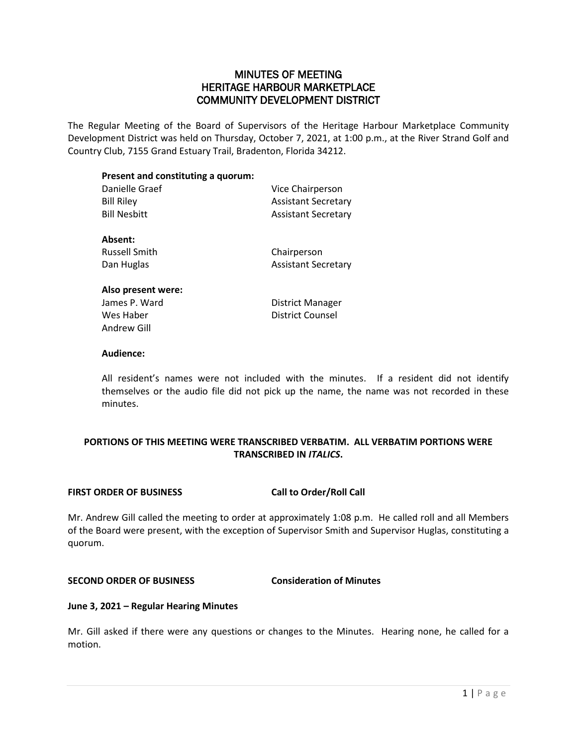#### MINUTES OF MEETING HERITAGE HARBOUR MARKETPLACE COMMUNITY DEVELOPMENT DISTRICT

The Regular Meeting of the Board of Supervisors of the Heritage Harbour Marketplace Community Development District was held on Thursday, October 7, 2021, at 1:00 p.m., at the River Strand Golf and Country Club, 7155 Grand Estuary Trail, Bradenton, Florida 34212.

### **Present and constituting a quorum:**

| Danielle Graef | Vice Chairperson           |
|----------------|----------------------------|
| Bill Riley     | <b>Assistant Secretary</b> |
| Bill Nesbitt   | <b>Assistant Secretary</b> |
| Absent:        |                            |
|                |                            |

Russell Smith Chairperson

Dan Huglas **Assistant Secretary** 

#### **Also present were:** James P. Ward **District Manager** Wes Haber **District Counsel** Andrew Gill

#### **Audience:**

All resident's names were not included with the minutes. If a resident did not identify themselves or the audio file did not pick up the name, the name was not recorded in these minutes.

#### **PORTIONS OF THIS MEETING WERE TRANSCRIBED VERBATIM. ALL VERBATIM PORTIONS WERE TRANSCRIBED IN** *ITALICS***.**

#### **FIRST ORDER OF BUSINESS Call to Order/Roll Call**

Mr. Andrew Gill called the meeting to order at approximately 1:08 p.m. He called roll and all Members of the Board were present, with the exception of Supervisor Smith and Supervisor Huglas, constituting a quorum.

#### **SECOND ORDER OF BUSINESS Consideration of Minutes**

#### **June 3, 2021 – Regular Hearing Minutes**

Mr. Gill asked if there were any questions or changes to the Minutes. Hearing none, he called for a motion.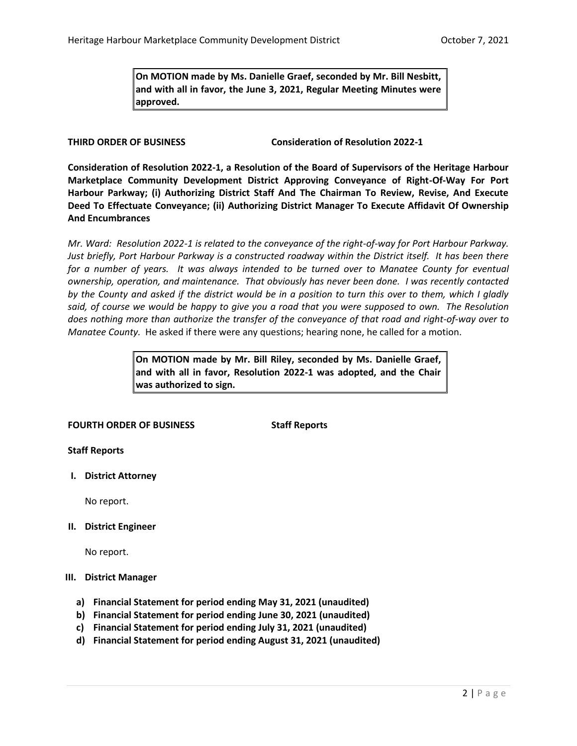**On MOTION made by Ms. Danielle Graef, seconded by Mr. Bill Nesbitt, and with all in favor, the June 3, 2021, Regular Meeting Minutes were approved.** 

**THIRD ORDER OF BUSINESS Consideration of Resolution 2022-1**

**Consideration of Resolution 2022-1, a Resolution of the Board of Supervisors of the Heritage Harbour Marketplace Community Development District Approving Conveyance of Right-Of-Way For Port Harbour Parkway; (i) Authorizing District Staff And The Chairman To Review, Revise, And Execute Deed To Effectuate Conveyance; (ii) Authorizing District Manager To Execute Affidavit Of Ownership And Encumbrances**

*Mr. Ward: Resolution 2022-1 is related to the conveyance of the right-of-way for Port Harbour Parkway. Just briefly, Port Harbour Parkway is a constructed roadway within the District itself. It has been there for a number of years. It was always intended to be turned over to Manatee County for eventual ownership, operation, and maintenance. That obviously has never been done. I was recently contacted by the County and asked if the district would be in a position to turn this over to them, which I gladly said, of course we would be happy to give you a road that you were supposed to own. The Resolution does nothing more than authorize the transfer of the conveyance of that road and right-of-way over to Manatee County.* He asked if there were any questions; hearing none, he called for a motion.

> **On MOTION made by Mr. Bill Riley, seconded by Ms. Danielle Graef, and with all in favor, Resolution 2022-1 was adopted, and the Chair was authorized to sign.**

#### **FOURTH ORDER OF BUSINESS Staff Reports**

**Staff Reports**

**I. District Attorney**

No report.

**II. District Engineer**

No report.

#### **III. District Manager**

- **a) Financial Statement for period ending May 31, 2021 (unaudited)**
- **b) Financial Statement for period ending June 30, 2021 (unaudited)**
- **c) Financial Statement for period ending July 31, 2021 (unaudited)**
- **d) Financial Statement for period ending August 31, 2021 (unaudited)**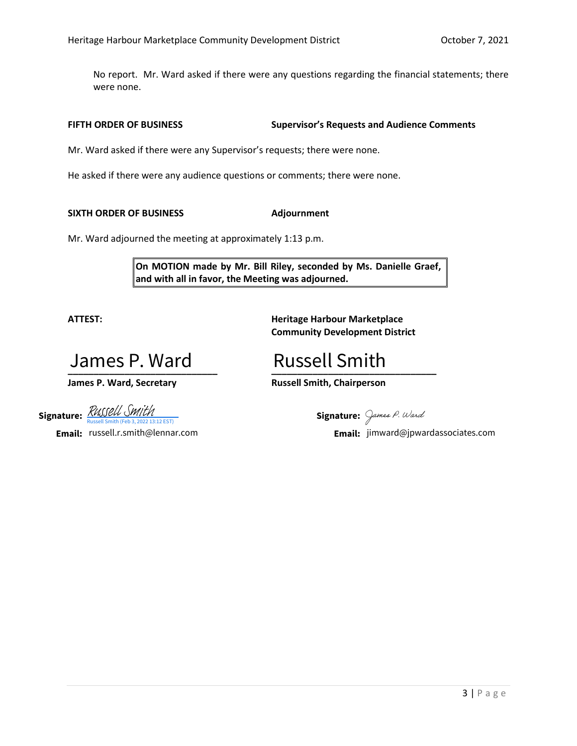No report. Mr. Ward asked if there were any questions regarding the financial statements; there were none.

**FIFTH ORDER OF BUSINESS Supervisor's Requests and Audience Comments**

Mr. Ward asked if there were any Supervisor's requests; there were none.

He asked if there were any audience questions or comments; there were none.

**SIXTH ORDER OF BUSINESS Adjournment**

Mr. Ward adjourned the meeting at approximately 1:13 p.m.

**On MOTION made by Mr. Bill Riley, seconded by Ms. Danielle Graef, and with all in favor, the Meeting was adjourned.**

**ATTEST: Heritage Harbour Marketplace Community Development District**

**\_\_\_\_\_\_\_\_\_\_\_\_\_\_\_\_\_\_\_\_\_\_\_\_\_\_\_\_\_ \_\_\_\_\_\_\_\_\_\_\_\_\_\_\_\_\_\_\_\_\_\_\_\_\_\_\_\_\_\_\_\_ James P. Ward**<br>James P. Ward, Secretary<br>Ire: RUSSELL SMITH

**Signature:**  $\frac{\Lambda \mathcal{U}_{\mathsf{U}} \cup \mathcal{U}_{\mathsf{U}} \cup \mathcal{W}_{\mathsf{I}} \cup \mathcal{W}_{\mathsf{I}}}{\text{Russell Smith (Feb 3, 2022 13:12 EST)}}$ [Russell Smith](https://na2.documents.adobe.com/verifier?tx=CBJCHBCAABAAD93PixBBIczr-VJMY2yMdm78TLm4rR1I)

**Email:** russell.r.smith@lennar.com

Russell Smith

**James P. Ward, Secretary Russell Smith, Chairperson**

Signature: James P. Ward

**Email:** jimward@jpwardassociates.com